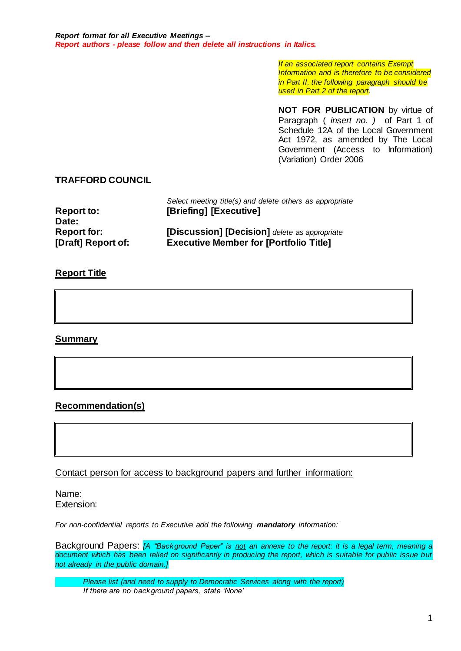*If an associated report contains Exempt Information and is therefore to be considered in Part II, the following paragraph should be used in Part 2 of the report.*

**NOT FOR PUBLICATION** by virtue of Paragraph ( *insert no. )* of Part 1 of Schedule 12A of the Local Government Act 1972, as amended by The Local Government (Access to Information) (Variation) Order 2006

## **TRAFFORD COUNCIL**

|                    | Select meeting title(s) and delete others as appropriate |
|--------------------|----------------------------------------------------------|
| <b>Report to:</b>  | [Briefing] [Executive]                                   |
| Date:              |                                                          |
| <b>Report for:</b> | [Discussion] [Decision] delete as appropriate            |
| [Draft] Report of: | <b>Executive Member for [Portfolio Title]</b>            |

## **Report Title**

**Summary**

# **Recommendation(s)**

Contact person for access to background papers and further information:

Name: Extension:

*For non-confidential reports to Executive add the following mandatory information:*

Background Papers: *[A "Background Paper" is not an annexe to the report: it is a legal term, meaning a document which has been relied on significantly in producing the report, which is suitable for public issue but not already in the public domain.]*

*Please list (and need to supply to Democratic Services along with the report) If there are no background papers, state 'None'*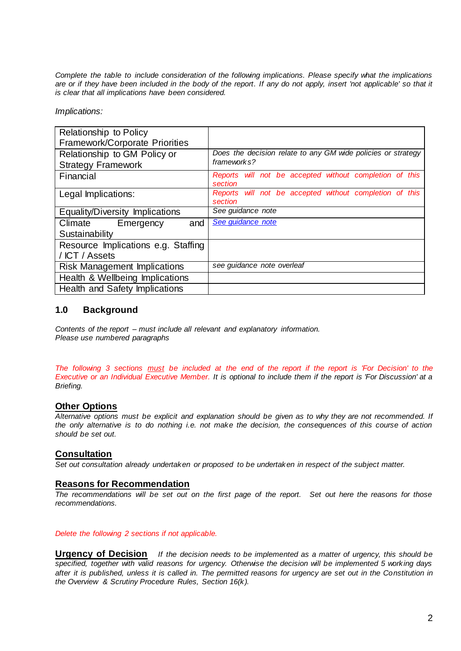*Complete the table to include consideration of the following implications. Please specify what the implications are or if they have been included in the body of the report. If any do not apply, insert 'not applicable' so that it is clear that all implications have been considered.*

*Implications:*

| Relationship to Policy<br>Framework/Corporate Priorities |                                                                    |
|----------------------------------------------------------|--------------------------------------------------------------------|
| Relationship to GM Policy or                             | Does the decision relate to any GM wide policies or strategy       |
| <b>Strategy Framework</b>                                | frameworks?                                                        |
| Financial                                                | Reports will not be accepted without completion of this<br>section |
| Legal Implications:                                      | Reports will not be accepted without completion of this<br>section |
| Equality/Diversity Implications                          | See guidance note                                                  |
| Climate Emergency<br>and                                 | See guidance note                                                  |
| Sustainability                                           |                                                                    |
| Resource Implications e.g. Staffing                      |                                                                    |
| / ICT / Assets                                           |                                                                    |
| <b>Risk Management Implications</b>                      | see guidance note overleaf                                         |
| Health & Wellbeing Implications                          |                                                                    |
| <b>Health and Safety Implications</b>                    |                                                                    |

## **1.0 Background**

*Contents of the report – must include all relevant and explanatory information. Please use numbered paragraphs*

*The following 3 sections must be included at the end of the report if the report is 'For Decision' to the Executive or an Individual Executive Member. It is optional to include them if the report is 'For Discussion' at a Briefing.*

### **Other Options**

*Alternative options must be explicit and explanation should be given as to why they are not recommended. If the only alternative is to do nothing i.e. not make the decision, the consequences of this course of action should be set out.*

## **Consultation**

*Set out consultation already undertaken or proposed to be undertaken in respect of the subject matter.*

### **Reasons for Recommendation**

*The recommendations will be set out on the first page of the report. Set out here the reasons for those recommendations.*

### *Delete the following 2 sections if not applicable.*

**Urgency of Decision** *If the decision needs to be implemented as a matter of urgency, this should be specified, together with valid reasons for urgency. Otherwise the decision will be implemented 5 working days*  after it is published, unless it is called in. The permitted reasons for urgency are set out in the Constitution in *the Overview & Scrutiny Procedure Rules, Section 16(k).*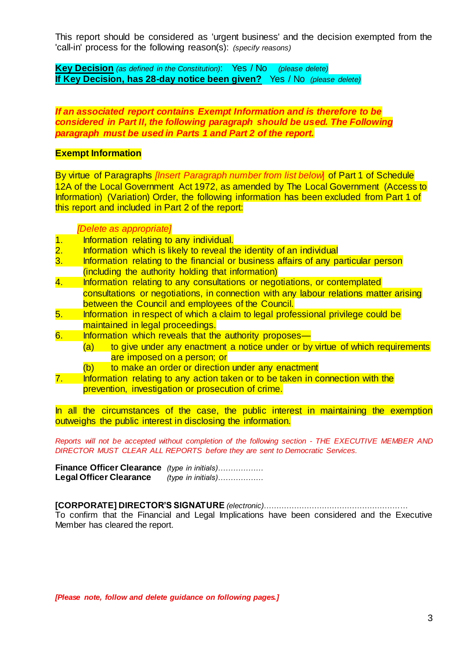This report should be considered as 'urgent business' and the decision exempted from the 'call-in' process for the following reason(s): *(specify reasons)*

**Key Decision** *(as defined in the Constitution)*: Yes / No *(please delete)* **If Key Decision, has 28-day notice been given?** Yes / No *(please delete)*

*If an associated report contains Exempt Information and is therefore to be considered in Part II, the following paragraph should be used. The Following paragraph must be used in Parts 1 and Part 2 of the report.*

## **Exempt Information**

By virtue of Paragraphs *[Insert Paragraph number from list below*] of Part 1 of Schedule 12A of the Local Government Act 1972, as amended by The Local Government (Access to Information) (Variation) Order, the following information has been excluded from Part 1 of this report and included in Part 2 of the report:

### *[Delete as appropriate]*

- 1. Information relating to any individual.<br>2. Information which is likely to reveal th
- 2. Information which is likely to reveal the identity of an individual<br>3. Information relating to the financial or business affairs of any pa
- Information relating to the financial or business affairs of any particular person (including the authority holding that information)
- 4. Information relating to any consultations or negotiations, or contemplated consultations or negotiations, in connection with any labour relations matter arising between the Council and employees of the Council.
- 5. Information in respect of which a claim to legal professional privilege could be maintained in legal proceedings.
- 6. Information which reveals that the authority proposes—
	- (a) to give under any enactment a notice under or by virtue of which requirements are imposed on a person; or
		- (b) to make an order or direction under any enactment
- 7. Information relating to any action taken or to be taken in connection with the prevention, investigation or prosecution of crime.

In all the circumstances of the case, the public interest in maintaining the exemption outweighs the public interest in disclosing the information.

*Reports will not be accepted without completion of the following section - THE EXECUTIVE MEMBER AND DIRECTOR MUST CLEAR ALL REPORTS before they are sent to Democratic Services.* 

**Finance Officer Clearance** *(type in initials)………………* **Legal Officer Clearance** *(type in initials)………………*

**[CORPORATE] DIRECTOR'S SIGNATURE** *(electronic)*…………………………………………………

To confirm that the Financial and Legal Implications have been considered and the Executive Member has cleared the report.

*[Please note, follow and delete guidance on following pages.]*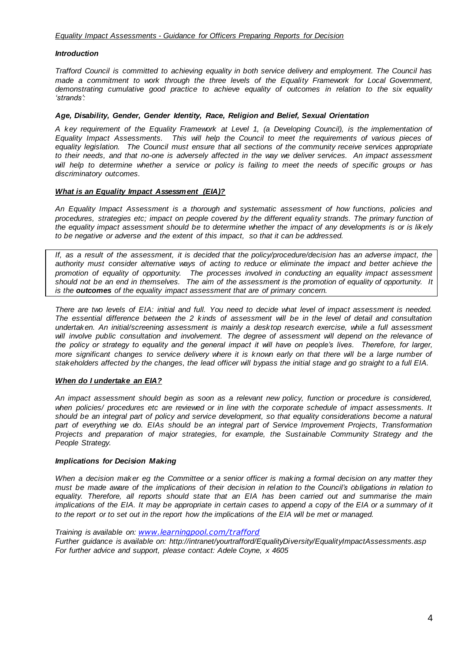#### *Introduction*

*Trafford Council is committed to achieving equality in both service delivery and employment. The Council has made a commitment to work through the three levels of the Equality Framework for Local Government, demonstrating cumulative good practice to achieve equality of outcomes in relation to the six equality 'strands':* 

#### *Age, Disability, Gender, Gender Identity, Race, Religion and Belief, Sexual Orientation*

*A key requirement of the Equality Framework at Level 1, (a Developing Council), is the implementation of Equality Impact Assessments. This will help the Council to meet the requirements of various pieces of equality legislation. The Council must ensure that all sections of the community receive services appropriate to their needs, and that no-one is adversely affected in the way we deliver services. An impact assessment will help to determine whether a service or policy is failing to meet the needs of specific groups or has discriminatory outcomes.* 

#### *What is an Equality Impact Assessment (EIA)?*

*An Equality Impact Assessment is a thorough and systematic assessment of how functions, policies and*  procedures, strategies etc; impact on people covered by the different equality strands. The primary function of *the equality impact assessment should be to determine whether the impact of any developments is or is likely to be negative or adverse and the extent of this impact, so that it can be addressed.* 

*If, as a result of the assessment, it is decided that the policy/procedure/decision has an adverse impact, the authority must consider alternative ways of acting to reduce or eliminate the impact and better achieve the promotion of equality of opportunity. The processes involved in conducting an equality impact assessment should not be an end in themselves. The aim of the assessment is the promotion of equality of opportunity. It is the outcomes of the equality impact assessment that are of primary concern.* 

*There are two levels of EIA: initial and full. You need to decide what level of impact assessment is needed. The essential difference between the 2 kinds of assessment will be in the level of detail and consultation undertaken. An initial/screening assessment is mainly a desktop research exercise, while a full assessment*  will involve public consultation and involvement. The degree of assessment will depend on the relevance of *the policy or strategy to equality and the general impact it will have on people's lives. Therefore, for larger, more significant changes to service delivery where it is known early on that there will be a large number of stakeholders affected by the changes, the lead officer will bypass the initial stage and go straight to a full EIA.*

#### *When do I undertake an EIA?*

*An impact assessment should begin as soon as a relevant new policy, function or procedure is considered, when policies/ procedures etc are reviewed or in line with the corporate schedule of impact assessments. It should be an integral part of policy and service development, so that equality considerations become a natural part of everything we do. EIAs should be an integral part of Service Improvement Projects, Transformation Projects and preparation of major strategies, for example, the Sustainable Community Strategy and the People Strategy.*

#### *Implications for Decision Making*

*When a decision maker eg the Committee or a senior officer is making a formal decision on any matter they must be made aware of the implications of their decision in relation to the Council's obligations in relation to equality. Therefore, all reports should state that an EIA has been carried out and summarise the main implications of the EIA. It may be appropriate in certain cases to append a copy of the EIA or a summary of it to the report or to set out in the report how the implications of the EIA will be met or managed.* 

*Training is available on: [www.learningpool.com/trafford](http://www.learningpool.com/trafford)*

*Further guidance is available on: http://intranet/yourtrafford/EqualityDiversity/EqualityImpactAssessments.asp For further advice and support, please contact: Adele Coyne, x 4605*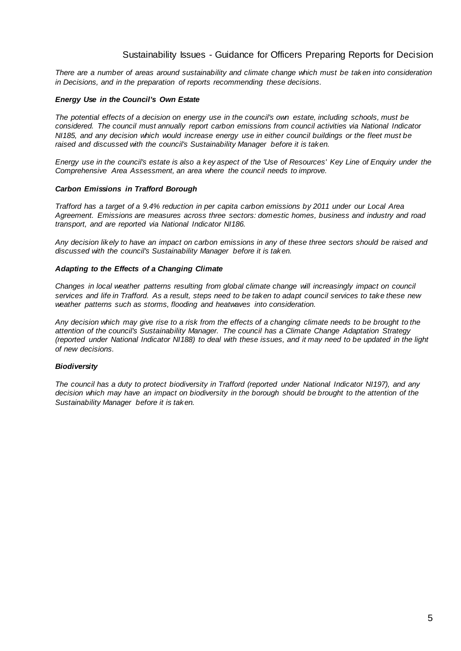## Sustainability Issues - Guidance for Officers Preparing Reports for Decision

<span id="page-4-0"></span>*There are a number of areas around sustainability and climate change which must be taken into consideration in Decisions, and in the preparation of reports recommending these decisions.*

#### *Energy Use in the Council's Own Estate*

*The potential effects of a decision on energy use in the council's own estate, including schools, must be considered. The council must annually report carbon emissions from council activities via National Indicator NI185, and any decision which would increase energy use in either council buildings or the fleet must be raised and discussed with the council's Sustainability Manager before it is taken.*

*Energy use in the council's estate is also a key aspect of the 'Use of Resources' Key Line of Enquiry under the Comprehensive Area Assessment, an area where the council needs to improve.*

#### *Carbon Emissions in Trafford Borough*

*Trafford has a target of a 9.4% reduction in per capita carbon emissions by 2011 under our Local Area Agreement. Emissions are measures across three sectors: domestic homes, business and industry and road transport, and are reported via National Indicator NI186.*

*Any decision likely to have an impact on carbon emissions in any of these three sectors should be raised and discussed with the council's Sustainability Manager before it is taken.*

#### *Adapting to the Effects of a Changing Climate*

*Changes in local weather patterns resulting from global climate change will increasingly impact on council services and life in Trafford. As a result, steps need to be taken to adapt council services to take these new weather patterns such as storms, flooding and heatwaves into consideration.*

*Any decision which may give rise to a risk from the effects of a changing climate needs to be brought to the attention of the council's Sustainability Manager. The council has a Climate Change Adaptation Strategy (reported under National Indicator NI188) to deal with these issues, and it may need to be updated in the light of new decisions.*

### *Biodiversity*

*The council has a duty to protect biodiversity in Trafford (reported under National Indicator NI197), and any decision which may have an impact on biodiversity in the borough should be brought to the attention of the Sustainability Manager before it is taken.*